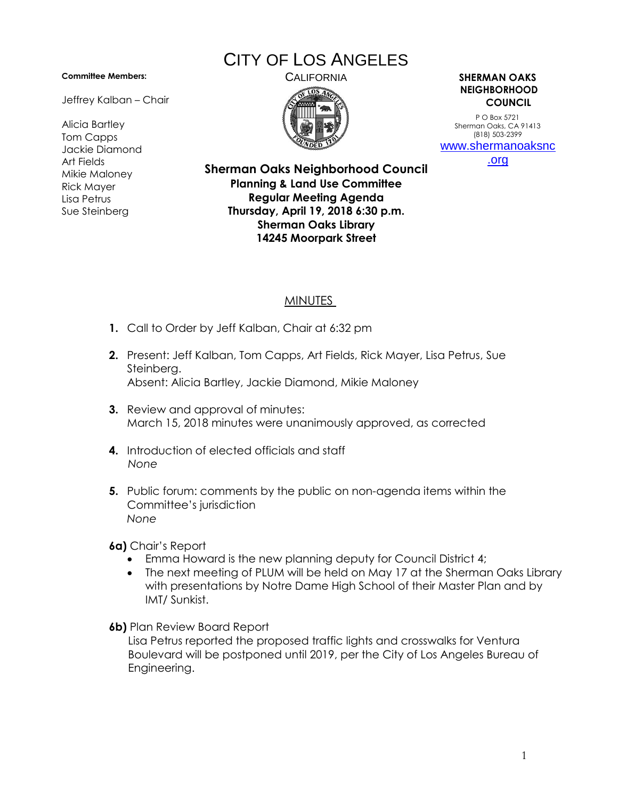## **Committee Members:**

Jeffrey Kalban – Chair

Alicia Bartley Tom Capps Jackie Diamond Art Fields Mikie Maloney Rick Mayer Lisa Petrus Sue Steinberg

## CITY OF LOS ANGELES



CALIFORNIA **SHERMAN OAKS NEIGHBORHOOD COUNCIL**

> P O Box 5721 Sherman Oaks, CA 91413 (818) 503-2399 [www.shermanoaksnc](http://www.shermanoaksnc.org/)

[.org](http://www.shermanoaksnc.org/)

**Sherman Oaks Neighborhood Council Planning & Land Use Committee Regular Meeting Agenda Thursday, April 19, 2018 6:30 p.m. Sherman Oaks Library 14245 Moorpark Street**

## MINUTES

- **1.** Call to Order by Jeff Kalban, Chair at 6:32 pm
- **2.** Present: Jeff Kalban, Tom Capps, Art Fields, Rick Mayer, Lisa Petrus, Sue Steinberg. Absent: Alicia Bartley, Jackie Diamond, Mikie Maloney
- **3.** Review and approval of minutes: March 15, 2018 minutes were unanimously approved, as corrected
- **4.** Introduction of elected officials and staff *None*
- **5.** Public forum: comments by the public on non-agenda items within the Committee's jurisdiction *None*

**6a)** Chair's Report

- Emma Howard is the new planning deputy for Council District 4;
- The next meeting of PLUM will be held on May 17 at the Sherman Oaks Library with presentations by Notre Dame High School of their Master Plan and by IMT/ Sunkist.
- **6b)** Plan Review Board Report

Lisa Petrus reported the proposed traffic lights and crosswalks for Ventura Boulevard will be postponed until 2019, per the City of Los Angeles Bureau of Engineering.